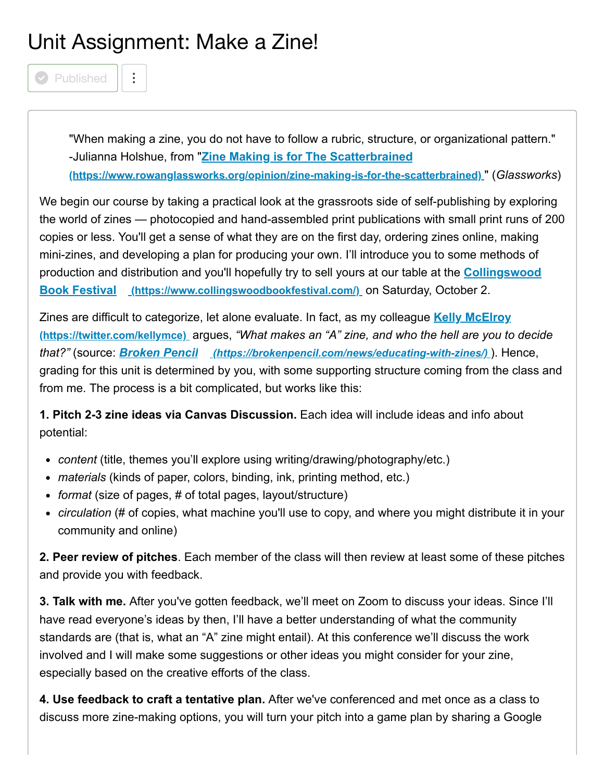## Unit Assignment: Make a Zine!

**Published** 

"When making a zine, you do not have to follow a rubric, structure, or organizational pattern." -Julianna Holshue, from "**Zine Making is for The Scatterbrained [\(https://www.rowanglassworks.org/opinion/zine-making-is-for-the-scatterbrained\)](https://www.rowanglassworks.org/opinion/zine-making-is-for-the-scatterbrained)** " (*Glassworks*)

We begin our course by taking a practical look at the grassroots side of self-publishing by exploring the world of zines — photocopied and hand-assembled print publications with small print runs of 200 copies or less. You'll get a sense of what they are on the first day, ordering zines online, making mini-zines, and developing a plan for producing your own. I'll introduce you to some methods of [production and distribution and you'll hopefully try to sell yours at our table at the](https://www.collingswoodbookfestival.com/) **Collingswood Book Festival (https://www.collingswoodbookfestival.com/)** on Saturday, October 2.

[Zines are difficult to categorize, let alone evaluate. In fact, as my colleague](https://twitter.com/kellymce) **Kelly McElroy (https://twitter.com/kellymce)** argues, *"What makes an "A" zine, and who the hell are you to decide that?"* (source: *Broken Pencil [\(https://brokenpencil.com/news/educating-with-zines/\)](https://brokenpencil.com/news/educating-with-zines/)* ). Hence, grading for this unit is determined by you, with some supporting structure coming from the class and from me. The process is a bit complicated, but works like this:

**1. Pitch 2-3 zine ideas via Canvas Discussion.** Each idea will include ideas and info about potential:

- *content* (title, themes you'll explore using writing/drawing/photography/etc.)
- *materials* (kinds of paper, colors, binding, ink, printing method, etc.)
- *format* (size of pages, # of total pages, layout/structure)
- *circulation* (# of copies, what machine you'll use to copy, and where you might distribute it in your community and online)

**2. Peer review of pitches**. Each member of the class will then review at least some of these pitches and provide you with feedback.

**3. Talk with me.** After you've gotten feedback, we'll meet on Zoom to discuss your ideas. Since I'll have read everyone's ideas by then, I'll have a better understanding of what the community standards are (that is, what an "A" zine might entail). At this conference we'll discuss the work involved and I will make some suggestions or other ideas you might consider for your zine, especially based on the creative efforts of the class.

**4. Use feedback to craft a tentative plan.** After we've conferenced and met once as a class to discuss more zine-making options, you will turn your pitch into a game plan by sharing a Google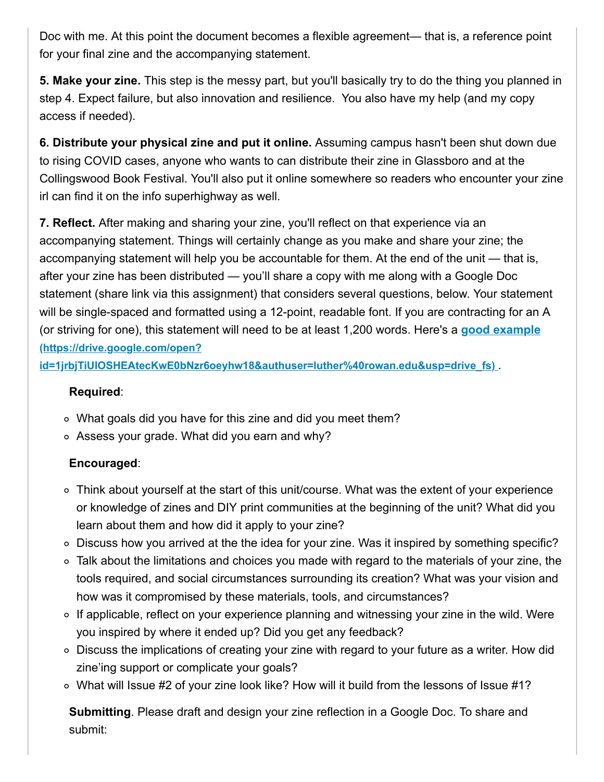Doc with me. At this point the document becomes a flexible agreement— that is, a reference point for your final zine and the accompanying statement.

**5. Make your zine.** This step is the messy part, but you'll basically try to do the thing you planned in step 4. Expect failure, but also innovation and resilience. You also have my help (and my copy access if needed).

**6. Distribute your physical zine and put it online.** Assuming campus hasn't been shut down due to rising COVID cases, anyone who wants to can distribute their zine in Glassboro and at the Collingswood Book Festival. You'll also put it online somewhere so readers who encounter your zine irl can find it on the info superhighway as well.

**7. Reflect.** After making and sharing your zine, you'll reflect on that experience via an accompanying statement. Things will certainly change as you make and share your zine; the accompanying statement will help you be accountable for them. At the end of the unit — that is, after your zine has been distributed — you'll share a copy with me along with a Google Doc statement (share link via this assignment) that considers several questions, below. Your statement will be single-spaced and formatted using a 12-point, readable font. If you are contracting for an A [\(or striving for one\), this statement will need to be at least 1,200 words. Here's a](https://drive.google.com/open?id=1jrbjTiUlOSHEAtecKwE0bNzr6oeyhw18&authuser=luther%40rowan.edu&usp=drive_fs) **good example (https://drive.google.com/open?**

**id=1jrbjTiUlOSHEAtecKwE0bNzr6oeyhw18&authuser=luther%40rowan.edu&usp=drive\_fs)** .

## **Required**:

- What goals did you have for this zine and did you meet them?
- Assess your grade. What did you earn and why?

## **Encouraged**:

- $\circ$  Think about yourself at the start of this unit/course. What was the extent of your experience or knowledge of zines and DIY print communities at the beginning of the unit? What did you learn about them and how did it apply to your zine?
- o Discuss how you arrived at the the idea for your zine. Was it inspired by something specific?
- Talk about the limitations and choices you made with regard to the materials of your zine, the tools required, and social circumstances surrounding its creation? What was your vision and how was it compromised by these materials, tools, and circumstances?
- $\circ$  If applicable, reflect on your experience planning and witnessing your zine in the wild. Were you inspired by where it ended up? Did you get any feedback?
- Discuss the implications of creating your zine with regard to your future as a writer. How did zine'ing support or complicate your goals?
- What will Issue #2 of your zine look like? How will it build from the lessons of Issue #1?

**Submitting**. Please draft and design your zine reflection in a Google Doc. To share and submit: